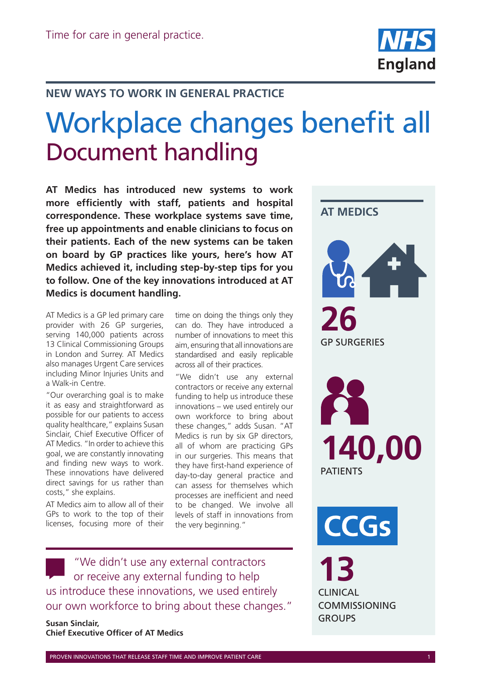

## **NEW WAYS TO WORK IN GENERAL PRACTICE**

## Workplace changes benefit all Document handling

**AT Medics has introduced new systems to work more efficiently with staff, patients and hospital correspondence. These workplace systems save time, free up appointments and enable clinicians to focus on their patients. Each of the new systems can be taken on board by GP practices like yours, here's how AT Medics achieved it, including step-by-step tips for you to follow. One of the key innovations introduced at AT Medics is document handling.**

AT Medics is a GP led primary care provider with 26 GP surgeries, serving 140,000 patients across 13 Clinical Commissioning Groups in London and Surrey. AT Medics also manages Urgent Care services including Minor Injuries Units and a Walk-in Centre.

"Our overarching goal is to make it as easy and straightforward as possible for our patients to access quality healthcare," explains Susan Sinclair, Chief Executive Officer of AT Medics. "In order to achieve this goal, we are constantly innovating and finding new ways to work. These innovations have delivered direct savings for us rather than costs," she explains.

AT Medics aim to allow all of their GPs to work to the top of their licenses, focusing more of their

time on doing the things only they can do. They have introduced a number of innovations to meet this aim, ensuring that all innovations are standardised and easily replicable across all of their practices.

"We didn't use any external contractors or receive any external funding to help us introduce these innovations – we used entirely our own workforce to bring about these changes," adds Susan. "AT Medics is run by six GP directors, all of whom are practicing GPs in our surgeries. This means that they have first-hand experience of day-to-day general practice and can assess for themselves which processes are inefficient and need to be changed. We involve all levels of staff in innovations from the very beginning."

"We didn't use any external contractors or receive any external funding to help us introduce these innovations, we used entirely our own workforce to bring about these changes."

**Susan Sinclair, Chief Executive Officer of AT Medics**

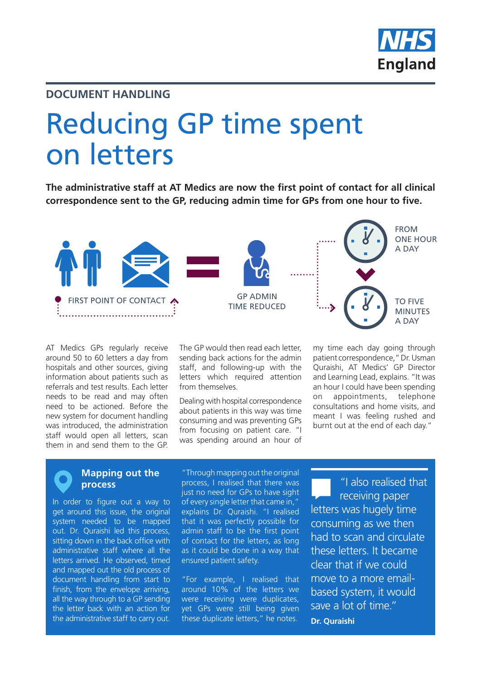

#### **DOCUMENT HANDLING**

# Reducing GP time spent on letters

**The administrative staff at AT Medics are now the first point of contact for all clinical correspondence sent to the GP, reducing admin time for GPs from one hour to five.**



AT Medics GPs regularly receive around 50 to 60 letters a day from hospitals and other sources, giving information about patients such as referrals and test results. Each letter needs to be read and may often need to be actioned. Before the new system for document handling was introduced, the administration staff would open all letters, scan them in and send them to the GP.

The GP would then read each letter, sending back actions for the admin staff, and following-up with the letters which required attention from themselves.

Dealing with hospital correspondence about patients in this way was time consuming and was preventing GPs from focusing on patient care. "I was spending around an hour of

my time each day going through patient correspondence," Dr. Usman Quraishi, AT Medics' GP Director and Learning Lead, explains. "It was an hour I could have been spending on appointments, telephone consultations and home visits, and meant I was feeling rushed and burnt out at the end of each day."

#### **Mapping out the process**

In order to figure out a way to get around this issue, the original system needed to be mapped out. Dr. Quraishi led this process, sitting down in the back office with administrative staff where all the letters arrived. He observed, timed and mapped out the old process of document handling from start to finish, from the envelope arriving. all the way through to a GP sending the letter back with an action for the administrative staff to carry out.

"Through mapping out the original process, I realised that there was just no need for GPs to have sight of every single letter that came in," explains Dr. Quraishi. "I realised that it was perfectly possible for admin staff to be the first point of contact for the letters, as long as it could be done in a way that ensured patient safety.

"For example, I realised that around 10% of the letters we were receiving were duplicates, yet GPs were still being given these duplicate letters," he notes.

"I also realised that receiving paper letters was hugely time consuming as we then had to scan and circulate these letters. It became clear that if we could move to a more emailbased system, it would save a lot of time." **Dr. Quraishi**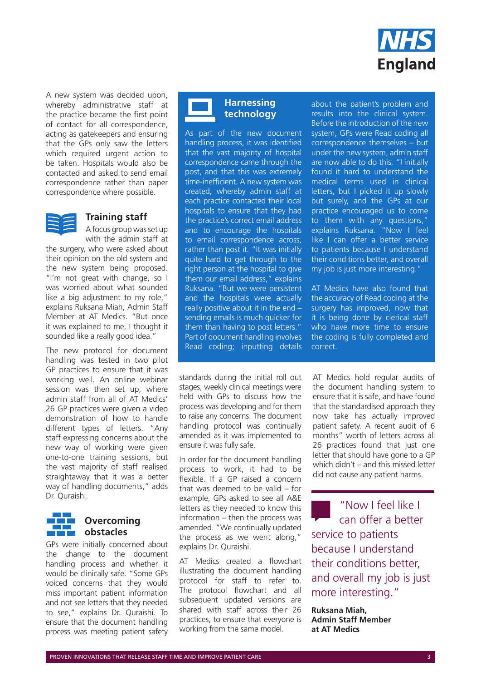

A new system was decided upon, whereby administrative staff at the practice became the first point of contact for all correspondence, acting as gatekeepers and ensuring that the GPs only saw the letters which required urgent action to be taken. Hospitals would also be contacted and asked to send email correspondence rather than paper correspondence where possible.



#### **Training staff**

A focus group was set up with the admin staff at

the surgery, who were asked about their opinion on the old system and the new system being proposed. "I'm not great with change, so I was worried about what sounded like a big adjustment to my role," explains Ruksana Miah, Admin Staff Member at AT Medics. "But once it was explained to me, I thought it sounded like a really good idea."

The new protocol for document handling was tested in two pilot GP practices to ensure that it was working well. An online webinar session was then set up, where admin staff from all of AT Medics' 26 GP practices were given a video demonstration of how to handle different types of letters. "Any staff expressing concerns about the new way of working were given one-to-one training sessions, but the vast majority of staff realised straightaway that it was a better way of handling documents," adds Dr. Quraishi.



#### **Overcoming obstacles**

GPs were initially concerned about the change to the document handling process and whether it would be clinically safe. "Some GPs voiced concerns that they would miss important patient information and not see letters that they needed to see," explains Dr. Quraishi. To ensure that the document handling process was meeting patient safety

#### **Harnessing technology**

As part of the new document handling process, it was identified that the vast majority of hospital correspondence came through the post, and that this was extremely time-inefficient. A new system was created, whereby admin staff at each practice contacted their local hospitals to ensure that they had the practice's correct email address and to encourage the hospitals to email correspondence across, rather than post it. "It was initially quite hard to get through to the right person at the hospital to give them our email address," explains Ruksana. "But we were persistent and the hospitals were actually really positive about it in the end – sending emails is much quicker for them than having to post letters." Part of document handling involves Read coding; inputting details

standards during the initial roll out stages, weekly clinical meetings were held with GPs to discuss how the process was developing and for them to raise any concerns. The document handling protocol was continually amended as it was implemented to ensure it was fully safe.

In order for the document handling process to work, it had to be flexible. If a GP raised a concern that was deemed to be valid – for example, GPs asked to see all A&E letters as they needed to know this information – then the process was amended. "We continually updated the process as we went along," explains Dr. Quraishi.

AT Medics created a flowchart illustrating the document handling protocol for staff to refer to. The protocol flowchart and all subsequent updated versions are shared with staff across their 26 practices, to ensure that everyone is working from the same model.

about the patient's problem and results into the clinical system. Before the introduction of the new system, GPs were Read coding all correspondence themselves – but under the new system, admin staff are now able to do this. "I initially found it hard to understand the medical terms used in clinical letters, but I picked it up slowly but surely, and the GPs at our practice encouraged us to come to them with any questions," explains Ruksana. "Now I feel like I can offer a better service to patients because I understand their conditions better, and overall my job is just more interesting."

AT Medics have also found that the accuracy of Read coding at the surgery has improved, now that it is being done by clerical staff who have more time to ensure the coding is fully completed and correct.

AT Medics hold regular audits of the document handling system to ensure that it is safe, and have found that the standardised approach they now take has actually improved patient safety. A recent audit of 6 months" worth of letters across all 26 practices found that just one letter that should have gone to a GP which didn't – and this missed letter did not cause any patient harms.

"Now I feel like I can offer a better service to patients because I understand their conditions better, and overall my job is just more interesting."

**Ruksana Miah, Admin Staff Member at AT Medics**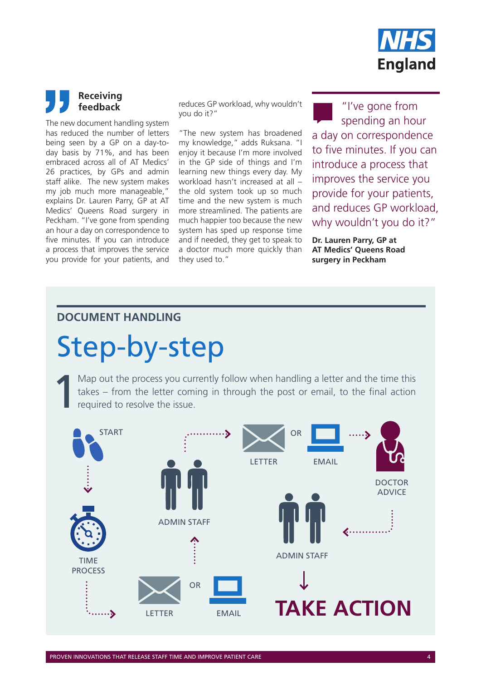

## **Receiving feedback**

The new document handling system has reduced the number of letters being seen by a GP on a day-today basis by 71%, and has been embraced across all of AT Medics' 26 practices, by GPs and admin staff alike. The new system makes my job much more manageable," explains Dr. Lauren Parry, GP at AT Medics' Queens Road surgery in Peckham. "I've gone from spending an hour a day on correspondence to five minutes. If you can introduce a process that improves the service you provide for your patients, and reduces GP workload, why wouldn't you do it?"

"The new system has broadened my knowledge," adds Ruksana. "I enjoy it because I'm more involved in the GP side of things and I'm learning new things every day. My workload hasn't increased at all – the old system took up so much time and the new system is much more streamlined. The patients are much happier too because the new system has sped up response time and if needed, they get to speak to a doctor much more quickly than they used to."

"I've gone from spending an hour a day on correspondence to five minutes. If you can introduce a process that improves the service you provide for your patients, and reduces GP workload, why wouldn't you do it?"

**Dr. Lauren Parry, GP at AT Medics' Queens Road surgery in Peckham**

#### **DOCUMENT HANDLING**

# Step-by-step

Map out the process you currently follow when handling a letter and the time this takes – from the letter coming in through the post or email, to the final action required to resolve the issue. takes – from the letter coming in through the post or email, to the final action required to resolve the issue.

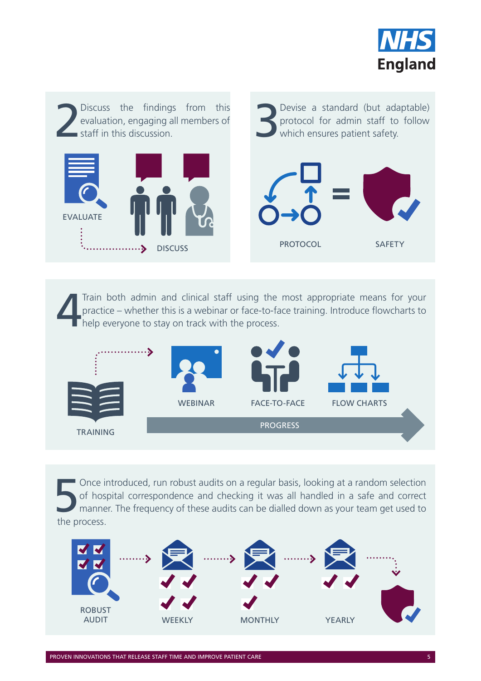



Train both admin and clinical staff using the most appropriate means for your practice – whether this is a webinar or face-to-face training. Introduce flowcharts to help everyone to stay on track with the process. practice – whether this is a webinar or face-to-face training. Introduce flowcharts to  $\blacksquare$  help everyone to stay on track with the process.



Sonce introduced, run robust audits on a regular basis, looking at a random selection of hospital correspondence and checking it was all handled in a safe and correct manner. The frequency of these audits can be dialled do of hospital correspondence and checking it was all handled in a safe and correct manner. The frequency of these audits can be dialled down as your team get used to the process.

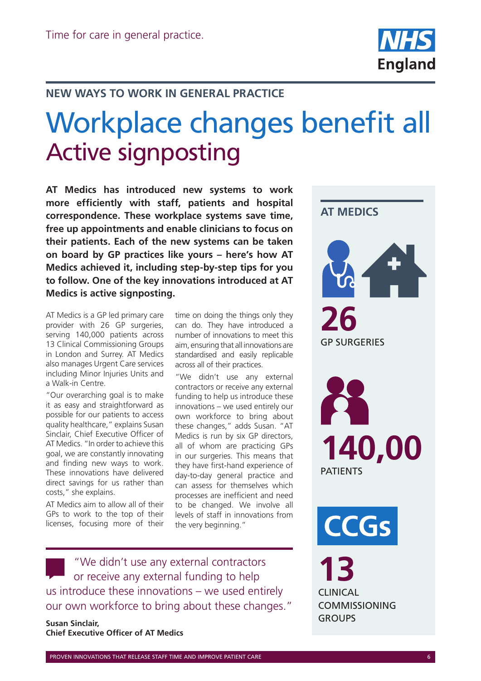

## **NEW WAYS TO WORK IN GENERAL PRACTICE**

# Workplace changes benefit all Active signposting

**AT Medics has introduced new systems to work more efficiently with staff, patients and hospital correspondence. These workplace systems save time, free up appointments and enable clinicians to focus on their patients. Each of the new systems can be taken on board by GP practices like yours – here's how AT Medics achieved it, including step-by-step tips for you to follow. One of the key innovations introduced at AT Medics is active signposting.**

AT Medics is a GP led primary care provider with 26 GP surgeries, serving 140,000 patients across 13 Clinical Commissioning Groups in London and Surrey. AT Medics also manages Urgent Care services including Minor Injuries Units and a Walk-in Centre.

"Our overarching goal is to make it as easy and straightforward as possible for our patients to access quality healthcare," explains Susan Sinclair, Chief Executive Officer of AT Medics. "In order to achieve this goal, we are constantly innovating and finding new ways to work. These innovations have delivered direct savings for us rather than costs," she explains.

AT Medics aim to allow all of their GPs to work to the top of their licenses, focusing more of their

time on doing the things only they can do. They have introduced a number of innovations to meet this aim, ensuring that all innovations are standardised and easily replicable across all of their practices.

"We didn't use any external contractors or receive any external funding to help us introduce these innovations – we used entirely our own workforce to bring about these changes," adds Susan. "AT Medics is run by six GP directors, all of whom are practicing GPs in our surgeries. This means that they have first-hand experience of day-to-day general practice and can assess for themselves which processes are inefficient and need to be changed. We involve all levels of staff in innovations from the very beginning."

"We didn't use any external contractors or receive any external funding to help us introduce these innovations – we used entirely our own workforce to bring about these changes."

**Susan Sinclair, Chief Executive Officer of AT Medics**

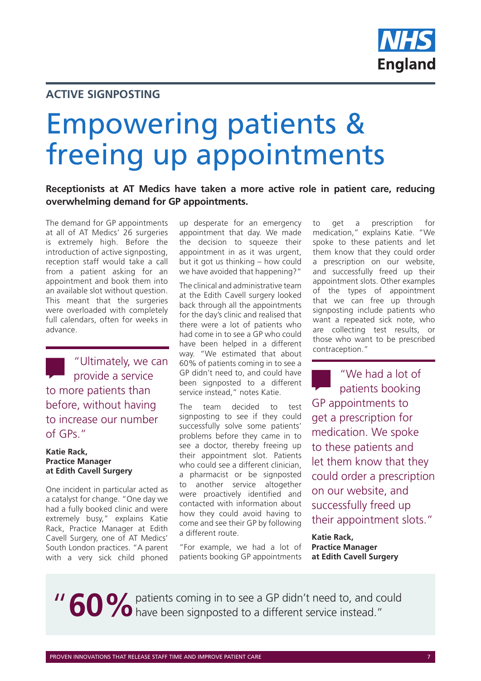

### **ACTIVE SIGNPOSTING**

# Empowering patients & freeing up appointments

#### **Receptionists at AT Medics have taken a more active role in patient care, reducing overwhelming demand for GP appointments.**

The demand for GP appointments at all of AT Medics' 26 surgeries is extremely high. Before the introduction of active signposting, reception staff would take a call from a patient asking for an appointment and book them into an available slot without question. This meant that the surgeries were overloaded with completely full calendars, often for weeks in advance.

"Ultimately, we can provide a service to more patients than before, without having to increase our number of GPs."

#### **Katie Rack, Practice Manager at Edith Cavell Surgery**

One incident in particular acted as a catalyst for change. "One day we had a fully booked clinic and were extremely busy," explains Katie Rack, Practice Manager at Edith Cavell Surgery, one of AT Medics' South London practices. "A parent with a very sick child phoned

up desperate for an emergency appointment that day. We made the decision to squeeze their appointment in as it was urgent, but it got us thinking – how could we have avoided that happening?"

The clinical and administrative team at the Edith Cavell surgery looked back through all the appointments for the day's clinic and realised that there were a lot of patients who had come in to see a GP who could have been helped in a different way. "We estimated that about 60% of patients coming in to see a GP didn't need to, and could have been signposted to a different service instead," notes Katie.

The team decided to test signposting to see if they could successfully solve some patients' problems before they came in to see a doctor, thereby freeing up their appointment slot. Patients who could see a different clinician, a pharmacist or be signposted to another service altogether were proactively identified and contacted with information about how they could avoid having to come and see their GP by following a different route.

"For example, we had a lot of patients booking GP appointments to get a prescription for medication," explains Katie. "We spoke to these patients and let them know that they could order a prescription on our website, and successfully freed up their appointment slots. Other examples of the types of appointment that we can free up through signposting include patients who want a repeated sick note, who are collecting test results, or those who want to be prescribed contraception."

"We had a lot of patients booking GP appointments to get a prescription for medication. We spoke to these patients and let them know that they could order a prescription on our website, and successfully freed up their appointment slots."

**Katie Rack, Practice Manager at Edith Cavell Surgery**

**11 60 %** patients coming in to see a GP didn't need to, and could have been signposted to a different service instead."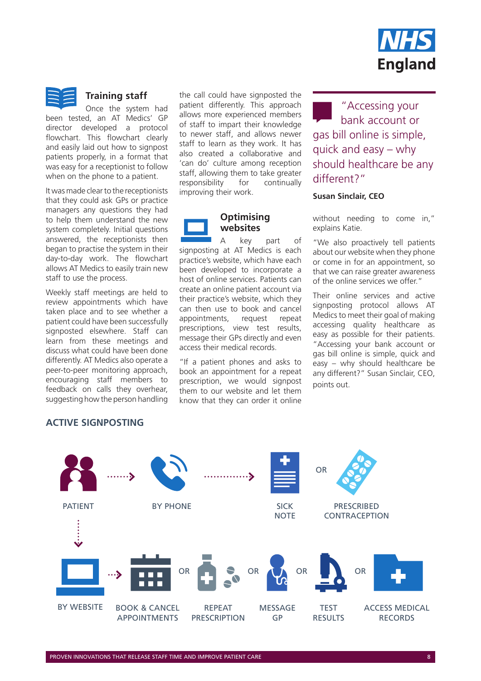



#### **Training staff**

Once the system had been tested, an AT Medics' GP director developed a protocol flowchart. This flowchart clearly and easily laid out how to signpost patients properly, in a format that was easy for a receptionist to follow when on the phone to a patient.

It was made clear to the receptionists that they could ask GPs or practice managers any questions they had to help them understand the new system completely. Initial questions answered, the receptionists then began to practise the system in their day-to-day work. The flowchart allows AT Medics to easily train new staff to use the process.

Weekly staff meetings are held to review appointments which have taken place and to see whether a patient could have been successfully signposted elsewhere. Staff can learn from these meetings and discuss what could have been done differently. AT Medics also operate a peer-to-peer monitoring approach, encouraging staff members to feedback on calls they overhear, suggesting how the person handling

#### **ACTIVE SIGNPOSTING**

the call could have signposted the patient differently. This approach allows more experienced members of staff to impart their knowledge to newer staff, and allows newer staff to learn as they work. It has also created a collaborative and 'can do' culture among reception staff, allowing them to take greater responsibility for continually improving their work.



A key part of signposting at AT Medics is each practice's website, which have each been developed to incorporate a host of online services. Patients can create an online patient account via their practice's website, which they can then use to book and cancel appointments, request repeat prescriptions, view test results, message their GPs directly and even access their medical records.

"If a patient phones and asks to book an appointment for a repeat prescription, we would signpost them to our website and let them know that they can order it online

"Accessing your bank account or gas bill online is simple, quick and easy – why should healthcare be any different?"

#### **Susan Sinclair, CEO**

without needing to come in," explains Katie.

"We also proactively tell patients about our website when they phone or come in for an appointment, so that we can raise greater awareness of the online services we offer."

Their online services and active signposting protocol allows AT Medics to meet their goal of making accessing quality healthcare as easy as possible for their patients. "Accessing your bank account or gas bill online is simple, quick and easy – why should healthcare be any different?" Susan Sinclair, CEO, points out.

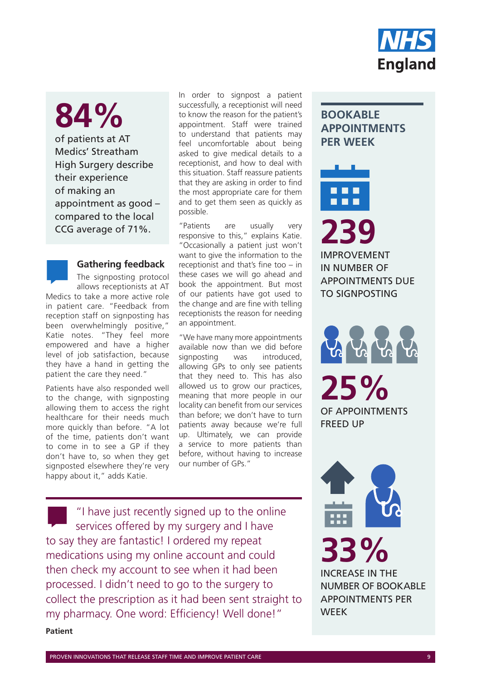

# **84%**

of patients at AT Medics' Streatham High Surgery describe their experience of making an appointment as good – compared to the local

#### **Gathering feedback**

The signposting protocol allows receptionists at AT Medics to take a more active role in patient care. "Feedback from reception staff on signposting has been overwhelmingly positive," Katie notes. "They feel more empowered and have a higher level of job satisfaction, because they have a hand in getting the patient the care they need."

Patients have also responded well to the change, with signposting allowing them to access the right healthcare for their needs much more quickly than before. "A lot of the time, patients don't want to come in to see a GP if they don't have to, so when they get signposted elsewhere they're very happy about it," adds Katie.

In order to signpost a patient successfully, a receptionist will need to know the reason for the patient's appointment. Staff were trained to understand that patients may feel uncomfortable about being asked to give medical details to a receptionist, and how to deal with this situation. Staff reassure patients that they are asking in order to find the most appropriate care for them and to get them seen as quickly as possible.

"Patients are usually very responsive to this," explains Katie. "Occasionally a patient just won't want to give the information to the receptionist and that's fine too – in these cases we will go ahead and book the appointment. But most of our patients have got used to the change and are fine with telling receptionists the reason for needing an appointment. CCG average of 71%.<br> **239**<br> **239**<br> **239**<br> **239**<br> **239**<br> **239**<br> **239**<br> **239**<br> **239** 

> "We have many more appointments available now than we did before signposting was introduced, allowing GPs to only see patients that they need to. This has also allowed us to grow our practices, meaning that more people in our locality can benefit from our services than before; we don't have to turn patients away because we're full up. Ultimately, we can provide a service to more patients than before, without having to increase our number of GPs."

"I have just recently signed up to the online services offered by my surgery and I have to say they are fantastic! I ordered my repeat medications using my online account and could then check my account to see when it had been processed. I didn't need to go to the surgery to collect the prescription as it had been sent straight to my pharmacy. One word: Efficiency! Well done!" **Patient**

## **BOOKABLE APPOINTMENTS PER WEEK**

IMPROVEMENT IN NUMBER OF APPOINTMENTS DUE TO SIGNPOSTING

**25%**  OF APPOINTMENTS FREED UP



# **33%**

INCREASE IN THE NUMBER OF BOOKABLE APPOINTMENTS PER WEEK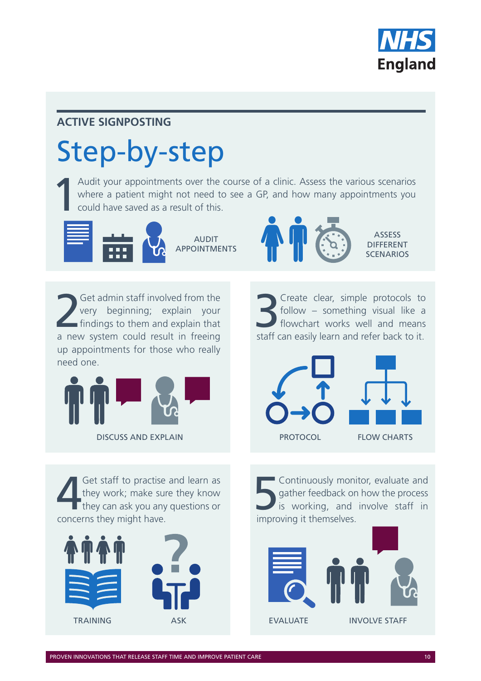

## **ACTIVE SIGNPOSTING**

# Step-by-step

Audit your appointments over the course of a clinic. Assess the various scenarios where a patient might not need to see a GP, and how many appointments you could have saved as a result of this. where a patient might not need to see a GP, and how many appointments you could have saved as a result of this.



APPOINTMENTS



**ASSESS** DIFFERENT **SCENARIOS** 

2 Get admin staff involved from the very beginning; explain your findings to them and explain that a new system could result in freeing up appointments for those who really need one.



Screate clear, simple protocols to<br>5 follow – something visual like a<br>5 flowchart works well and means follow – something visual like a flowchart works well and means staff can easily learn and refer back to it.



Get staff to practise and learn as<br>they work; make sure they know<br>they can ask you any questions or they work; make sure they know they can ask you any questions or concerns they might have.



**Solution**<br>5 Continuously monitor, evaluate and<br>5 is working, and involve staff in<br>5 improving it themselves gather feedback on how the process is working, and involve staff in improving it themselves.

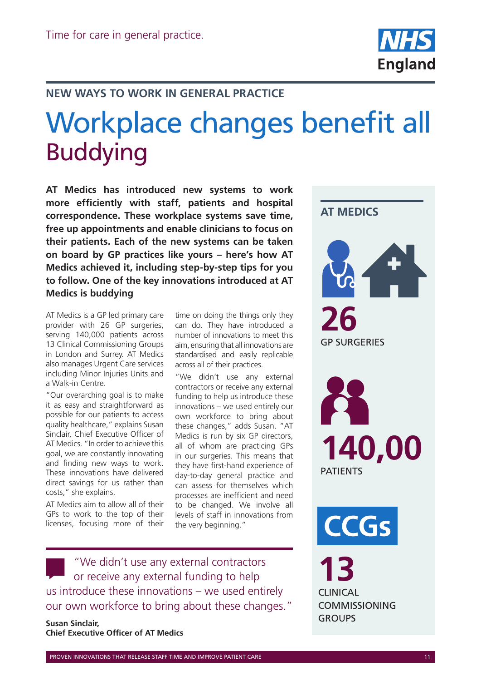

## **NEW WAYS TO WORK IN GENERAL PRACTICE**

# Workplace changes benefit all Buddying

**AT Medics has introduced new systems to work more efficiently with staff, patients and hospital correspondence. These workplace systems save time, free up appointments and enable clinicians to focus on their patients. Each of the new systems can be taken on board by GP practices like yours – here's how AT Medics achieved it, including step-by-step tips for you to follow. One of the key innovations introduced at AT Medics is buddying**

AT Medics is a GP led primary care provider with 26 GP surgeries, serving 140,000 patients across 13 Clinical Commissioning Groups in London and Surrey. AT Medics also manages Urgent Care services including Minor Injuries Units and a Walk-in Centre.

"Our overarching goal is to make it as easy and straightforward as possible for our patients to access quality healthcare," explains Susan Sinclair, Chief Executive Officer of AT Medics. "In order to achieve this goal, we are constantly innovating and finding new ways to work. These innovations have delivered direct savings for us rather than costs," she explains.

AT Medics aim to allow all of their GPs to work to the top of their licenses, focusing more of their

time on doing the things only they can do. They have introduced a number of innovations to meet this aim, ensuring that all innovations are standardised and easily replicable across all of their practices.

"We didn't use any external contractors or receive any external funding to help us introduce these innovations – we used entirely our own workforce to bring about these changes," adds Susan. "AT Medics is run by six GP directors, all of whom are practicing GPs in our surgeries. This means that they have first-hand experience of day-to-day general practice and can assess for themselves which processes are inefficient and need to be changed. We involve all levels of staff in innovations from the very beginning."

"We didn't use any external contractors or receive any external funding to help us introduce these innovations – we used entirely our own workforce to bring about these changes."

**Susan Sinclair, Chief Executive Officer of AT Medics**

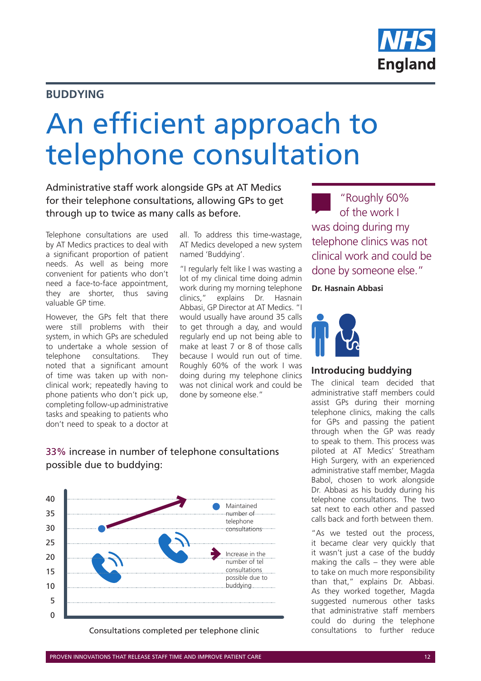

### **BUDDYING**

# An efficient approach to telephone consultation

Administrative staff work alongside GPs at AT Medics for their telephone consultations, allowing GPs to get through up to twice as many calls as before.

Telephone consultations are used by AT Medics practices to deal with a significant proportion of patient needs. As well as being more convenient for patients who don't need a face-to-face appointment, they are shorter, thus saving valuable GP time.

However, the GPs felt that there were still problems with their system, in which GPs are scheduled to undertake a whole session of telephone consultations. They noted that a significant amount of time was taken up with nonclinical work; repeatedly having to phone patients who don't pick up, completing follow-up administrative tasks and speaking to patients who don't need to speak to a doctor at

all. To address this time-wastage, AT Medics developed a new system named 'Buddying'.

"I regularly felt like I was wasting a lot of my clinical time doing admin work during my morning telephone clinics," explains Dr. Hasnain Abbasi, GP Director at AT Medics. "I would usually have around 35 calls to get through a day, and would regularly end up not being able to make at least 7 or 8 of those calls because I would run out of time. Roughly 60% of the work I was doing during my telephone clinics was not clinical work and could be done by someone else."

"Roughly 60% of the work I was doing during my telephone clinics was not clinical work and could be done by someone else."

**Dr. Hasnain Abbasi**



#### **Introducing buddying**

The clinical team decided that administrative staff members could assist GPs during their morning telephone clinics, making the calls for GPs and passing the patient through when the GP was ready to speak to them. This process was piloted at AT Medics' Streatham High Surgery, with an experienced administrative staff member, Magda Babol, chosen to work alongside Dr. Abbasi as his buddy during his telephone consultations. The two sat next to each other and passed calls back and forth between them.

"As we tested out the process, it became clear very quickly that it wasn't just a case of the buddy making the calls – they were able to take on much more responsibility than that," explains Dr. Abbasi. As they worked together, Magda suggested numerous other tasks that administrative staff members could do during the telephone<br>consultations to further reduce

#### 33% increase in number of telephone consultations possible due to buddying:



Consultations completed per telephone clinic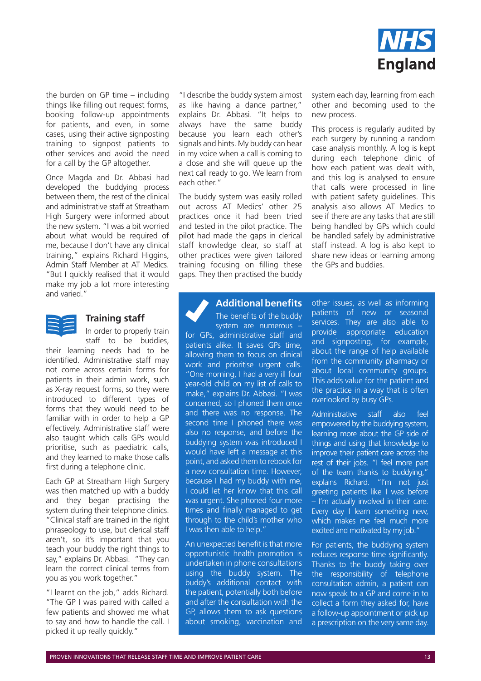

the burden on GP time – including things like filling out request forms, booking follow-up appointments for patients, and even, in some cases, using their active signposting training to signpost patients to other services and avoid the need for a call by the GP altogether.

Once Magda and Dr. Abbasi had developed the buddying process between them, the rest of the clinical and administrative staff at Streatham High Surgery were informed about the new system. "I was a bit worried about what would be required of me, because I don't have any clinical training," explains Richard Higgins, Admin Staff Member at AT Medics. "But I quickly realised that it would make my job a lot more interesting and varied."



#### **Training staff**

In order to properly train staff to be buddies,

their learning needs had to be identified. Administrative staff may not come across certain forms for patients in their admin work, such as X-ray request forms, so they were introduced to different types of forms that they would need to be familiar with in order to help a GP effectively. Administrative staff were also taught which calls GPs would prioritise, such as paediatric calls, and they learned to make those calls first during a telephone clinic.

Each GP at Streatham High Surgery was then matched up with a buddy and they began practising the system during their telephone clinics. "Clinical staff are trained in the right phraseology to use, but clerical staff aren't, so it's important that you teach your buddy the right things to say," explains Dr. Abbasi. "They can learn the correct clinical terms from you as you work together."

"I learnt on the job," adds Richard. "The GP I was paired with called a few patients and showed me what to say and how to handle the call. I picked it up really quickly."

"I describe the buddy system almost as like having a dance partner," explains Dr. Abbasi. "It helps to always have the same buddy because you learn each other's signals and hints. My buddy can hear in my voice when a call is coming to a close and she will queue up the next call ready to go. We learn from each other."

The buddy system was easily rolled out across AT Medics' other 25 practices once it had been tried and tested in the pilot practice. The pilot had made the gaps in clerical staff knowledge clear, so staff at other practices were given tailored training focusing on filling these gaps. They then practised the buddy system each day, learning from each other and becoming used to the new process.

This process is regularly audited by each surgery by running a random case analysis monthly. A log is kept during each telephone clinic of how each patient was dealt with, and this log is analysed to ensure that calls were processed in line with patient safety guidelines. This analysis also allows AT Medics to see if there are any tasks that are still being handled by GPs which could be handled safely by administrative staff instead. A log is also kept to share new ideas or learning among the GPs and buddies.

## **Additional benefits**

The benefits of the buddy system are numerous –

for GPs, administrative staff and patients alike. It saves GPs time, allowing them to focus on clinical work and prioritise urgent calls. "One morning, I had a very ill four year-old child on my list of calls to make," explains Dr. Abbasi. "I was concerned, so I phoned them once and there was no response. The second time I phoned there was also no response, and before the buddying system was introduced I would have left a message at this point, and asked them to rebook for a new consultation time. However, because I had my buddy with me, I could let her know that this call was urgent. She phoned four more times and finally managed to get through to the child's mother who I was then able to help."

An unexpected benefit is that more opportunistic health promotion is undertaken in phone consultations using the buddy system. The buddy's additional contact with the patient, potentially both before and after the consultation with the GP, allows them to ask questions about smoking, vaccination and

other issues, as well as informing patients of new or seasonal services. They are also able to provide appropriate education and signposting, for example, about the range of help available from the community pharmacy or about local community groups. This adds value for the patient and the practice in a way that is often overlooked by busy GPs.

Administrative staff also feel empowered by the buddying system, learning more about the GP side of things and using that knowledge to improve their patient care across the rest of their jobs. "I feel more part of the team thanks to buddying," explains Richard. "I'm not just greeting patients like I was before – I'm actually involved in their care. Every day I learn something new, which makes me feel much more excited and motivated by my job."

For patients, the buddying system reduces response time significantly. Thanks to the buddy taking over the responsibility of telephone consultation admin, a patient can now speak to a GP and come in to collect a form they asked for, have a follow-up appointment or pick up a prescription on the very same day.